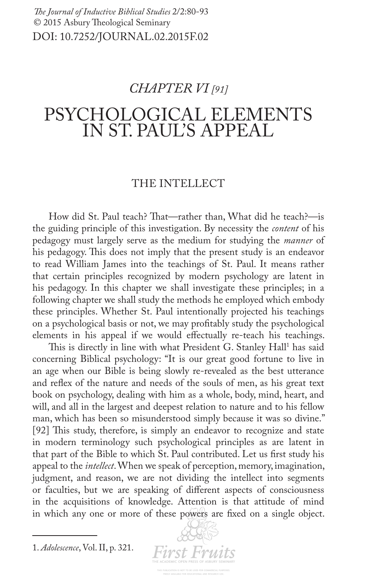# *CHAPTER VI [91]*

# PSYCHOLOGICAL ELEMENTS IN ST. PAUL'S APPEAL

# THE INTELLECT

How did St. Paul teach? That—rather than, What did he teach?—is the guiding principle of this investigation. By necessity the *content* of his pedagogy must largely serve as the medium for studying the *manner* of his pedagogy. This does not imply that the present study is an endeavor to read William James into the teachings of St. Paul. It means rather that certain principles recognized by modern psychology are latent in his pedagogy. In this chapter we shall investigate these principles; in a following chapter we shall study the methods he employed which embody these principles. Whether St. Paul intentionally projected his teachings on a psychological basis or not, we may proftably study the psychological elements in his appeal if we would efectually re-teach his teachings.

This is directly in line with what President G. Stanley Hall<sup>1</sup> has said concerning Biblical psychology: "It is our great good fortune to live in an age when our Bible is being slowly re-revealed as the best utterance and refex of the nature and needs of the souls of men, as his great text book on psychology, dealing with him as a whole, body, mind, heart, and will, and all in the largest and deepest relation to nature and to his fellow man, which has been so misunderstood simply because it was so divine." [92] This study, therefore, is simply an endeavor to recognize and state in modern terminology such psychological principles as are latent in that part of the Bible to which St. Paul contributed. Let us frst study his appeal to the *intellect*. When we speak of perception, memory, imagination, judgment, and reason, we are not dividing the intellect into segments or faculties, but we are speaking of diferent aspects of consciousness in the acquisitions of knowledge. Attention is that attitude of mind in which any one or more of these powers are fxed on a single object.

1. *Adolescence*, Vol. II, p. 321.

**First Fruits**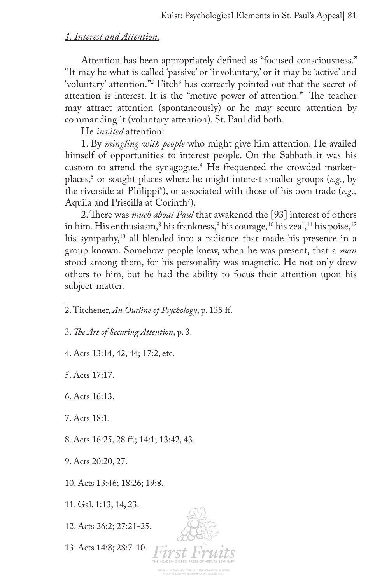# *1. Interest and Attention.*

Attention has been appropriately defned as "focused consciousness." "It may be what is called 'passive' or 'involuntary,' or it may be 'active' and 'voluntary' attention."2 Fitch3 has correctly pointed out that the secret of attention is interest. It is the "motive power of attention." The teacher may attract attention (spontaneously) or he may secure attention by commanding it (voluntary attention). St. Paul did both.

He *invited* attention:

1. By *mingling with people* who might give him attention. He availed himself of opportunities to interest people. On the Sabbath it was his custom to attend the synagogue.4 He frequented the crowded marketplaces,5 or sought places where he might interest smaller groups (*e.g.*, by the riverside at Philippi6 ), or associated with those of his own trade (*e.g.,* Aquila and Priscilla at Corinth<sup>7</sup>).

2. There was *much about Paul* that awakened the [93] interest of others in him. His enthusiasm, $^8$  his frankness, $^9$  his courage, $^{\rm 10}$  his zeal, $^{\rm 11}$  his poise, $^{\rm 12}$ his sympathy,<sup>13</sup> all blended into a radiance that made his presence in a group known. Somehow people knew, when he was present, that a *man* stood among them, for his personality was magnetic. He not only drew others to him, but he had the ability to focus their attention upon his subject-matter.

- 2. Titchener, *An Outline of Psychology*, p. 135 f.
- 3. *Te Art of Securing Attention*, p. 3.
- 4. Acts 13:14, 42, 44; 17:2, etc.

5. Acts 17:17.

- 6. Acts 16:13.
- 7. Acts 18:1.
- 8. Acts 16:25, 28 f.; 14:1; 13:42, 43.
- 9. Acts 20:20, 27.
- 10. Acts 13:46; 18:26; 19:8.
- 11. Gal. 1:13, 14, 23.
- 12. Acts 26:2; 27:21-25.
- 13. Acts 14:8; 28:7-10.

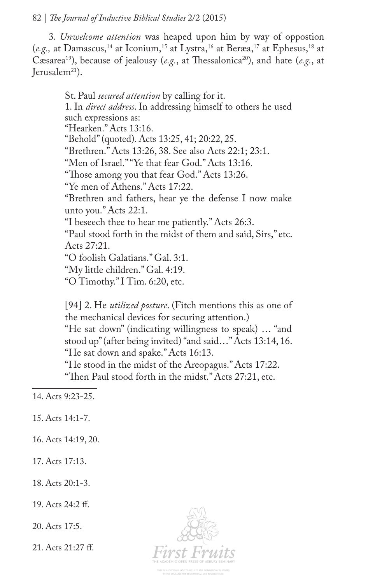3. *Unwelcome attention* was heaped upon him by way of oppostion (e.g., at Damascus,<sup>14</sup> at Iconium,<sup>15</sup> at Lystra,<sup>16</sup> at Beræa,<sup>17</sup> at Ephesus,<sup>18</sup> at Cæsarea<sup>19</sup>), because of jealousy (*e.g.*, at Thessalonica<sup>20</sup>), and hate (*e.g.*, at Jerusalem $^{21}$ ).

> St. Paul *secured attention* by calling for it. 1. In *direct address*. In addressing himself to others he used such expressions as: "Hearken." Acts 13:16. "Behold" (quoted). Acts 13:25, 41; 20:22, 25. "Brethren." Acts 13:26, 38. See also Acts 22:1; 23:1. "Men of Israel." "Ye that fear God." Acts 13:16. "Those among you that fear God." Acts 13:26. "Ye men of Athens." Acts 17:22. "Brethren and fathers, hear ye the defense I now make unto you." Acts 22:1. "I beseech thee to hear me patiently." Acts 26:3. "Paul stood forth in the midst of them and said, Sirs," etc. Acts 27:21. "O foolish Galatians." Gal. 3:1. "My little children." Gal. 4:19. "O Timothy." I Tim. 6:20, etc.

[94] 2. He *utilized posture*. (Fitch mentions this as one of the mechanical devices for securing attention.)

"He sat down" (indicating willingness to speak) … "and stood up" (after being invited) "and said…" Acts 13:14, 16. "He sat down and spake." Acts 16:13.

"He stood in the midst of the Areopagus." Acts 17:22. "Then Paul stood forth in the midst." Acts 27:21, etc.

14. Acts 9:23-25.

15. Acts 14:1-7.

16. Acts 14:19, 20.

17. Acts 17:13.

18. Acts 20:1-3.

19. Acts 24:2 f.

20. Acts 17:5.

21. Acts 21:27 f.

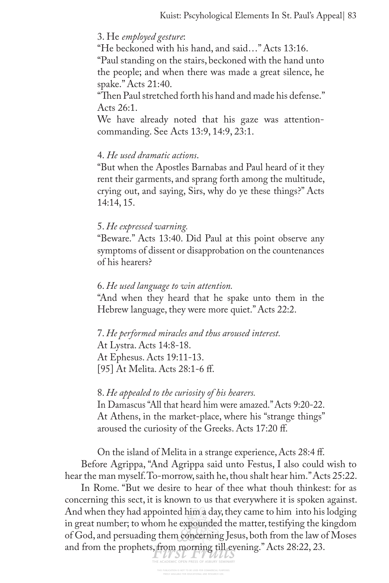#### 3. He *employed gesture*:

"He beckoned with his hand, and said…" Acts 13:16.

"Paul standing on the stairs, beckoned with the hand unto the people; and when there was made a great silence, he spake." Acts 21:40.

"Then Paul stretched forth his hand and made his defense." Acts 26:1.

We have already noted that his gaze was attentioncommanding. See Acts 13:9, 14:9, 23:1.

#### 4. *He used dramatic actions*.

"But when the Apostles Barnabas and Paul heard of it they rent their garments, and sprang forth among the multitude, crying out, and saying, Sirs, why do ye these things?" Acts 14:14, 15.

#### 5. *He expressed warning.*

"Beware." Acts 13:40. Did Paul at this point observe any symptoms of dissent or disapprobation on the countenances of his hearers?

#### 6. *He used language to win attention.*

"And when they heard that he spake unto them in the Hebrew language, they were more quiet." Acts 22:2.

7. *He performed miracles and thus aroused interest.* At Lystra. Acts 14:8-18. At Ephesus. Acts 19:11-13. [95] At Melita. Acts 28:1-6 f.

#### 8. *He appealed to the curiosity of his hearers.*

In Damascus "All that heard him were amazed." Acts 9:20-22. At Athens, in the market-place, where his "strange things" aroused the curiosity of the Greeks. Acts 17:20 f.

On the island of Melita in a strange experience, Acts 28:4 f. Before Agrippa, "And Agrippa said unto Festus, I also could wish to hear the man myself. To-morrow, saith he, thou shalt hear him." Acts 25:22.

In Rome. "But we desire to hear of thee what thouh thinkest: for as concerning this sect, it is known to us that everywhere it is spoken against. And when they had appointed him a day, they came to him into his lodging in great number; to whom he expounded the matter, testifying the kingdom of God, and persuading them concerning Jesus, both from the law of Moses and from the prophets, from morning till evening." Acts 28:22, 23.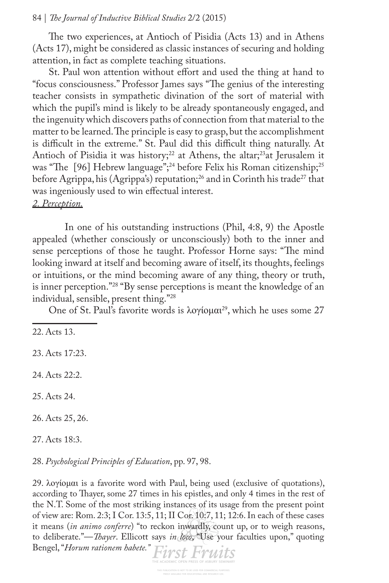The two experiences, at Antioch of Pisidia (Acts 13) and in Athens (Acts 17), might be considered as classic instances of securing and holding attention, in fact as complete teaching situations.

St. Paul won attention without effort and used the thing at hand to "focus consciousness." Professor James says "The genius of the interesting teacher consists in sympathetic divination of the sort of material with which the pupil's mind is likely to be already spontaneously engaged, and the ingenuity which discovers paths of connection from that material to the matter to be learned. The principle is easy to grasp, but the accomplishment is difficult in the extreme." St. Paul did this difficult thing naturally. At Antioch of Pisidia it was history;<sup>22</sup> at Athens, the altar;<sup>23</sup>at Jerusalem it was "The [96] Hebrew language";<sup>24</sup> before Felix his Roman citizenship;<sup>25</sup> before Agrippa, his (Agrippa's) reputation;<sup>26</sup> and in Corinth his trade<sup>27</sup> that was ingeniously used to win efectual interest. *2. Perception.*

In one of his outstanding instructions (Phil, 4:8, 9) the Apostle appealed (whether consciously or unconsciously) both to the inner and sense perceptions of those he taught. Professor Horne says: "The mind looking inward at itself and becoming aware of itself, its thoughts, feelings or intuitions, or the mind becoming aware of any thing, theory or truth, is inner perception."<sup>28</sup> "By sense perceptions is meant the knowledge of an individual, sensible, present thing."28

One of St. Paul's favorite words is λογίομαι<sup>29</sup>, which he uses some 27

22. Acts 13.

23. Acts 17:23.

24. Acts 22:2.

25. Acts 24.

26. Acts 25, 26.

27. Acts 18:3.

28. *Psychological Principles of Education*, pp. 97, 98.

29. λογίομαι is a favorite word with Paul, being used (exclusive of quotations), according to Thayer, some 27 times in his epistles, and only 4 times in the rest of the N.T. Some of the most striking instances of its usage from the present point of view are: Rom. 2:3; I Cor. 13:5, 11; II Cor. 10:7, 11; 12:6. In each of these cases it means (*in animo conferre*) "to reckon inwardly, count up, or to weigh reasons, to deliberate."—*Tayer*. Ellicott says *in loco*, "Use your faculties upon," quoting Bengel, "*Horum rationem habete."*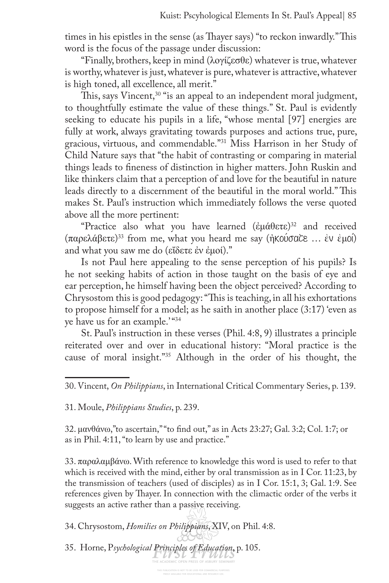times in his epistles in the sense (as Thayer says) "to reckon inwardly." This word is the focus of the passage under discussion:

"Finally, brothers, keep in mind (λογίζεσθε) whatever is true, whatever is worthy, whatever is just, whatever is pure, whatever is attractive, whatever is high toned, all excellence, all merit."

This, says Vincent,<sup>30</sup> "is an appeal to an independent moral judgment, to thoughtfully estimate the value of these things." St. Paul is evidently seeking to educate his pupils in a life, "whose mental [97] energies are fully at work, always gravitating towards purposes and actions true, pure, gracious, virtuous, and commendable."31 Miss Harrison in her Study of Child Nature says that "the habit of contrasting or comparing in material things leads to fneness of distinction in higher matters. John Ruskin and like thinkers claim that a perception of and love for the beautiful in nature leads directly to a discernment of the beautiful in the moral world." This makes St. Paul's instruction which immediately follows the verse quoted above all the more pertinent:

"Practice also what you have learned (ἐμάθετε) 32 and received (παρελάβετε) 33 from me, what you heard me say (ἠκούσατε … ἐν ἐμοί) and what you saw me do (εἴδετε ἐν ἐμοί)."

Is not Paul here appealing to the sense perception of his pupils? Is he not seeking habits of action in those taught on the basis of eye and ear perception, he himself having been the object perceived? According to Chrysostom this is good pedagogy: "This is teaching, in all his exhortations to propose himself for a model; as he saith in another place (3:17) 'even as ye have us for an example.' "34

St. Paul's instruction in these verses (Phil. 4:8, 9) illustrates a principle reiterated over and over in educational history: "Moral practice is the cause of moral insight."35 Although in the order of his thought, the

30. Vincent, *On Philippians*, in International Critical Commentary Series, p. 139.

31. Moule, *Philippians Studies*, p. 239.

32. μανθάνω,"to ascertain," "to fnd out," as in Acts 23:27; Gal. 3:2; Col. 1:7; or as in Phil. 4:11, "to learn by use and practice."

33. παραλαμβάνω. With reference to knowledge this word is used to refer to that which is received with the mind, either by oral transmission as in I Cor. 11:23, by the transmission of teachers (used of disciples) as in I Cor. 15:1, 3; Gal. 1:9. See references given by Tayer. In connection with the climactic order of the verbs it suggests an active rather than a passive receiving.

OPEN PRESS OF ASBURY SEMIN

34. Chrysostom, *Homilies on Philippians*, XIV, on Phil. 4:8.

35. Horne, P*sychological Principles of Education*, p. 105.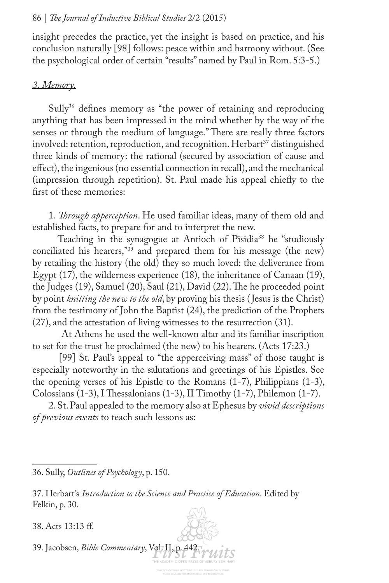insight precedes the practice, yet the insight is based on practice, and his conclusion naturally [98] follows: peace within and harmony without. (See the psychological order of certain "results" named by Paul in Rom. 5:3-5.)

### *3. Memory.*

Sully<sup>36</sup> defines memory as "the power of retaining and reproducing anything that has been impressed in the mind whether by the way of the senses or through the medium of language." There are really three factors involved: retention, reproduction, and recognition. Herbart<sup>37</sup> distinguished three kinds of memory: the rational (secured by association of cause and efect), the ingenious (no essential connection in recall), and the mechanical (impression through repetition). St. Paul made his appeal chiefy to the frst of these memories:

1. *Trough apperception*. He used familiar ideas, many of them old and established facts, to prepare for and to interpret the new.

Teaching in the synagogue at Antioch of Pisidia<sup>38</sup> he "studiously conciliated his hearers,"39 and prepared them for his message (the new) by retailing the history (the old) they so much loved: the deliverance from Egypt (17), the wilderness experience (18), the inheritance of Canaan (19), the Judges (19), Samuel (20), Saul (21), David (22). The he proceeded point by point *knitting the new to the old*, by proving his thesis ( Jesus is the Christ) from the testimony of John the Baptist (24), the prediction of the Prophets (27), and the attestation of living witnesses to the resurrection (31).

 At Athens he used the well-known altar and its familiar inscription to set for the trust he proclaimed (the new) to his hearers. (Acts 17:23.)

[99] St. Paul's appeal to "the apperceiving mass" of those taught is especially noteworthy in the salutations and greetings of his Epistles. See the opening verses of his Epistle to the Romans (1-7), Philippians (1-3), Colossians  $(1-3)$ , I Thessalonians  $(1-3)$ , II Timothy  $(1-7)$ , Philemon  $(1-7)$ .

2. St. Paul appealed to the memory also at Ephesus by *vivid descriptions of previous events* to teach such lessons as:

36. Sully, *Outlines of Psychology*, p. 150.

37. Herbart's *Introduction to the Science and Practice of Education*. Edited by Felkin, p. 30.

38. Acts 13:13 f.

39. Jacobsen, *Bible Commentary*, Vol. II, p. 442.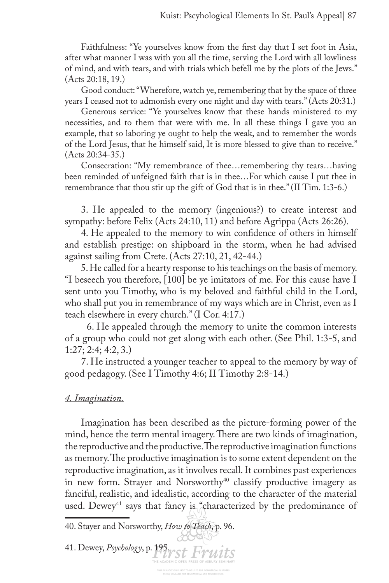Faithfulness: "Ye yourselves know from the frst day that I set foot in Asia, after what manner I was with you all the time, serving the Lord with all lowliness of mind, and with tears, and with trials which befell me by the plots of the Jews." (Acts 20:18, 19.)

Good conduct: "Wherefore, watch ye, remembering that by the space of three years I ceased not to admonish every one night and day with tears." (Acts 20:31.)

Generous service: "Ye yourselves know that these hands ministered to my necessities, and to them that were with me. In all these things I gave you an example, that so laboring ye ought to help the weak, and to remember the words of the Lord Jesus, that he himself said, It is more blessed to give than to receive." (Acts 20:34-35.)

Consecration: "My remembrance of thee…remembering thy tears…having been reminded of unfeigned faith that is in thee…For which cause I put thee in remembrance that thou stir up the gift of God that is in thee." (II Tim. 1:3-6.)

3. He appealed to the memory (ingenious?) to create interest and sympathy: before Felix (Acts 24:10, 11) and before Agrippa (Acts 26:26).

4. He appealed to the memory to win confdence of others in himself and establish prestige: on shipboard in the storm, when he had advised against sailing from Crete. (Acts 27:10, 21, 42-44.)

5. He called for a hearty response to his teachings on the basis of memory. "I beseech you therefore, [100] be ye imitators of me. For this cause have I sent unto you Timothy, who is my beloved and faithful child in the Lord, who shall put you in remembrance of my ways which are in Christ, even as I teach elsewhere in every church." (I Cor. 4:17.)

 6. He appealed through the memory to unite the common interests of a group who could not get along with each other. (See Phil. 1:3-5, and 1:27; 2:4; 4:2, 3.)

7. He instructed a younger teacher to appeal to the memory by way of good pedagogy. (See I Timothy 4:6; II Timothy 2:8-14.)

## *4. Imagination.*

Imagination has been described as the picture-forming power of the mind, hence the term mental imagery. There are two kinds of imagination, the reproductive and the productive. The reproductive imagination functions as memory. The productive imagination is to some extent dependent on the reproductive imagination, as it involves recall. It combines past experiences in new form. Strayer and Norsworthy<sup>40</sup> classify productive imagery as fanciful, realistic, and idealistic, according to the character of the material used. Dewey<sup>41</sup> says that fancy is "characterized by the predominance of

40. Stayer and Norsworthy, *How to Teach*, p. 96.

41. Dewey, *Psychology*, p. 195.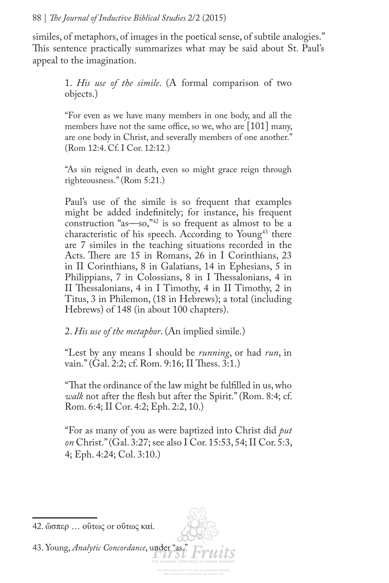similes, of metaphors, of images in the poetical sense, of subtile analogies." This sentence practically summarizes what may be said about St. Paul's appeal to the imagination.

> 1. *His use of the simile*. (A formal comparison of two objects.)

> "For even as we have many members in one body, and all the members have not the same office, so we, who are  $[101]$  many, are one body in Christ, and severally members of one another." (Rom 12:4. Cf. I Cor. 12:12.)

> "As sin reigned in death, even so might grace reign through righteousness." (Rom 5:21.)

> Paul's use of the simile is so frequent that examples might be added indefnitely; for instance, his frequent construction "as—so,"42 is so frequent as almost to be a characteristic of his speech. According to Young<sup>43</sup> there are 7 similes in the teaching situations recorded in the Acts. There are 15 in Romans, 26 in I Corinthians, 23 in II Corinthians, 8 in Galatians, 14 in Ephesians, 5 in Philippians, 7 in Colossians, 8 in I Thessalonians, 4 in II Thessalonians, 4 in I Timothy, 4 in II Timothy, 2 in Titus, 3 in Philemon, (18 in Hebrews); a total (including Hebrews) of 148 (in about 100 chapters).

2. *His use of the metaphor*. (An implied simile.)

"Lest by any means I should be *running*, or had *run*, in vain." (Gal. 2:2; cf. Rom. 9:16; II Thess. 3:1.)

"Tat the ordinance of the law might be fulflled in us, who *walk* not after the fesh but after the Spirit." (Rom. 8:4; cf. Rom. 6:4; II Cor. 4:2; Eph. 2:2, 10.)

"For as many of you as were baptized into Christ did *put on* Christ." (Gal. 3:27; see also I Cor. 15:53, 54; II Cor. 5:3, 4; Eph. 4:24; Col. 3:10.)

43. Young, *Analytic Concordance*, under "as."

<sup>42.</sup> ὥσπερ … οὔτως or οὔτως καί.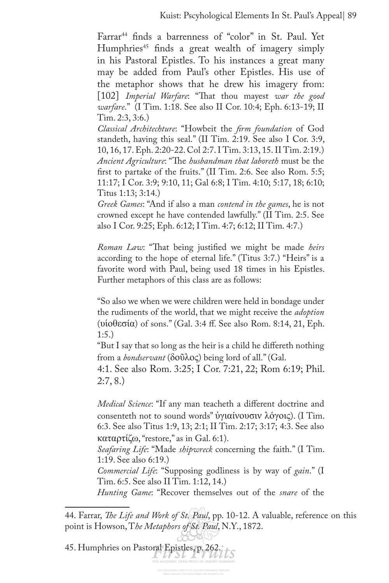Farrar<sup>44</sup> finds a barrenness of "color" in St. Paul. Yet Humphries<sup>45</sup> finds a great wealth of imagery simply in his Pastoral Epistles. To his instances a great many may be added from Paul's other Epistles. His use of the metaphor shows that he drew his imagery from: [102] *Imperial Warfare*: "That thou mayest war the good *warfare*." (I Tim. 1:18. See also II Cor. 10:4; Eph. 6:13-19; II Tim. 2:3, 3:6.)

*Classical Architechture*: "Howbeit the *frm foundation* of God standeth, having this seal." (II Tim. 2:19. See also I Cor. 3:9, 10, 16, 17. Eph. 2:20-22. Col 2:7. I Tim. 3:13, 15. II Tim. 2:19.) Ancient Agriculture: "The husbandman that laboreth must be the frst to partake of the fruits." (II Tim. 2:6. See also Rom. 5:5; 11:17; I Cor. 3:9; 9:10, 11; Gal 6:8; I Tim. 4:10; 5:17, 18; 6:10; Titus 1:13; 3:14.)

*Greek Games*: "And if also a man *contend in the games*, he is not crowned except he have contended lawfully." (II Tim. 2:5. See also I Cor. 9:25; Eph. 6:12; I Tim. 4:7; 6:12; II Tim. 4:7.)

*Roman Law*: "That being justified we might be made *heirs* according to the hope of eternal life." (Titus 3:7.) "Heirs" is a favorite word with Paul, being used 18 times in his Epistles. Further metaphors of this class are as follows:

"So also we when we were children were held in bondage under the rudiments of the world, that we might receive the *adoption* (υἱοθεσία) of sons." (Gal. 3:4 f. See also Rom. 8:14, 21, Eph. 1:5.)

"But I say that so long as the heir is a child he difereth nothing from a *bondservant* (δοῦλος) being lord of all." (Gal.

4:1. See also Rom. 3:25; I Cor. 7:21, 22; Rom 6:19; Phil. 2:7, 8.)

*Medical Science*: "If any man teacheth a diferent doctrine and consenteth not to sound words" ὑγιαίνουσιν λόγοις). (I Tim. 6:3. See also Titus 1:9, 13; 2:1; II Tim. 2:17; 3:17; 4:3. See also καταρτίζω, "restore," as in Gal. 6:1).

*Seafaring Life*: "Made *shipwreck* concerning the faith." (I Tim. 1:19. See also 6:19.)

*Commercial Life*: "Supposing godliness is by way of *gain*." (I Tim. 6:5. See also II Tim. 1:12, 14.)

*Hunting Game*: "Recover themselves out of the *snare* of the

45. Humphries on Pastoral Epistles, p. 262.

<sup>44.</sup> Farrar, *Te Life and Work of St. Paul*, pp. 10-12. A valuable, reference on this point is Howson, T*he Metaphors of St. Paul*, N.Y., 1872.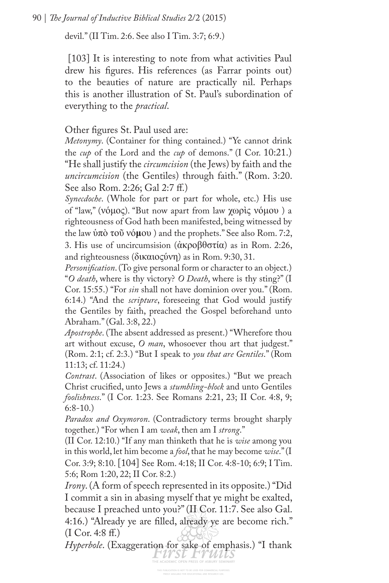devil." (II Tim. 2:6. See also I Tim. 3:7; 6:9.)

[103] It is interesting to note from what activities Paul drew his fgures. His references (as Farrar points out) to the beauties of nature are practically nil. Perhaps this is another illustration of St. Paul's subordination of everything to the *practical*.

Other fgures St. Paul used are:

*Metonymy*. (Container for thing contained.) "Ye cannot drink the *cup* of the Lord and the *cup* of demons." (I Cor. 10:21.) "He shall justify the *circumcision* (the Jews) by faith and the *uncircumcision* (the Gentiles) through faith." (Rom. 3:20. See also Rom. 2:26; Gal 2:7 f.)

*Synecdoche*. (Whole for part or part for whole, etc.) His use of "law," (νόμος). "But now apart from law χωρὶς νόμου ) a righteousness of God hath been manifested, being witnessed by the law ὑπὸ τοῦ νό**μ**ου ) and the prophets." See also Rom. 7:2, 3. His use of uncircumsision (ἀκροβθστία) as in Rom. 2:26, and righteousness (δικαιοςύνη) as in Rom. 9:30, 31.

*Personifcation*. (To give personal form or character to an object.) "*O death*, where is thy victory? *O Death*, where is thy sting?" (I Cor. 15:55.) "For *sin* shall not have dominion over you." (Rom. 6:14.) "And the *scripture*, foreseeing that God would justify the Gentiles by faith, preached the Gospel beforehand unto Abraham." (Gal. 3:8, 22.)

*Apostrophe*. (The absent addressed as present.) "Wherefore thou art without excuse, *O man*, whosoever thou art that judgest." (Rom. 2:1; cf. 2:3.) "But I speak to *you that are Gentiles*." (Rom 11:13; cf. 11:24.)

*Contrast*. (Association of likes or opposites.) "But we preach Christ crucifed, unto Jews a *stumbling-block* and unto Gentiles *foolishness*." (I Cor. 1:23. See Romans 2:21, 23; II Cor. 4:8, 9;  $6:8-10.$ 

*Paradox and Oxymoron*. (Contradictory terms brought sharply together.) "For when I am *weak*, then am I *strong*."

(II Cor. 12:10.) "If any man thinketh that he is *wise* among you in this world, let him become a *fool*, that he may become *wise*." (I Cor. 3:9; 8:10. [104] See Rom. 4:18; II Cor. 4:8-10; 6:9; I Tim. 5:6; Rom 1:20, 22; II Cor. 8:2.)

*Irony*. (A form of speech represented in its opposite.) "Did I commit a sin in abasing myself that ye might be exalted, because I preached unto you?" (II Cor. 11:7. See also Gal. 4:16.) "Already ye are flled, already ye are become rich." (I Cor. 4:8 f.)

*Hyperbole*. (Exaggeration for sake of emphasis.) "I thank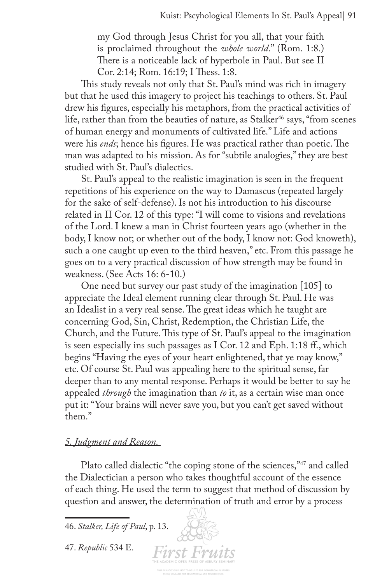my God through Jesus Christ for you all, that your faith is proclaimed throughout the *whole world*." (Rom. 1:8.) There is a noticeable lack of hyperbole in Paul. But see II Cor. 2:14; Rom. 16:19; I Thess. 1:8.

This study reveals not only that St. Paul's mind was rich in imagery but that he used this imagery to project his teachings to others. St. Paul drew his fgures, especially his metaphors, from the practical activities of life, rather than from the beauties of nature, as Stalker<sup>46</sup> says, "from scenes of human energy and monuments of cultivated life." Life and actions were his *ends*; hence his figures. He was practical rather than poetic. The man was adapted to his mission. As for "subtile analogies," they are best studied with St. Paul's dialectics.

St. Paul's appeal to the realistic imagination is seen in the frequent repetitions of his experience on the way to Damascus (repeated largely for the sake of self-defense). Is not his introduction to his discourse related in II Cor. 12 of this type: "I will come to visions and revelations of the Lord. I knew a man in Christ fourteen years ago (whether in the body, I know not; or whether out of the body, I know not: God knoweth), such a one caught up even to the third heaven," etc. From this passage he goes on to a very practical discussion of how strength may be found in weakness. (See Acts 16: 6-10.)

One need but survey our past study of the imagination [105] to appreciate the Ideal element running clear through St. Paul. He was an Idealist in a very real sense. The great ideas which he taught are concerning God, Sin, Christ, Redemption, the Christian Life, the Church, and the Future. This type of St. Paul's appeal to the imagination is seen especially ins such passages as I Cor. 12 and Eph. 1:18 f., which begins "Having the eyes of your heart enlightened, that ye may know," etc. Of course St. Paul was appealing here to the spiritual sense, far deeper than to any mental response. Perhaps it would be better to say he appealed *through* the imagination than *to* it, as a certain wise man once put it: "Your brains will never save you, but you can't get saved without them."

#### *5. Judgment and Reason.*

Plato called dialectic "the coping stone of the sciences,"<sup>47</sup> and called the Dialectician a person who takes thoughtful account of the essence of each thing. He used the term to suggest that method of discussion by question and answer, the determination of truth and error by a process

**First Fruits** 

46. *Stalker, Life of Paul*, p. 13.

47. *Republic* 534 E.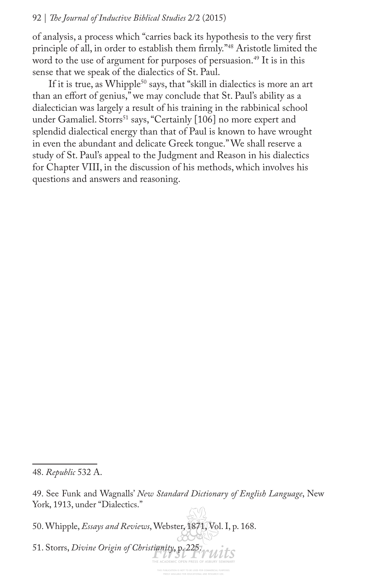of analysis, a process which "carries back its hypothesis to the very frst principle of all, in order to establish them frmly."48 Aristotle limited the word to the use of argument for purposes of persuasion.<sup>49</sup> It is in this sense that we speak of the dialectics of St. Paul.

If it is true, as Whipple<sup>50</sup> says, that "skill in dialectics is more an art than an efort of genius," we may conclude that St. Paul's ability as a dialectician was largely a result of his training in the rabbinical school under Gamaliel. Storrs<sup>51</sup> says, "Certainly [106] no more expert and splendid dialectical energy than that of Paul is known to have wrought in even the abundant and delicate Greek tongue." We shall reserve a study of St. Paul's appeal to the Judgment and Reason in his dialectics for Chapter VIII, in the discussion of his methods, which involves his questions and answers and reasoning.

50. Whipple, *Essays and Reviews*, Webster, 1871, Vol. I, p. 168.

51. Storrs, *Divine Origin of Christianity*, p. 225. Wits

<sup>48.</sup> *Republic* 532 A.

<sup>49.</sup> See Funk and Wagnalls' *New Standard Dictionary of English Language*, New York, 1913, under "Dialectics."